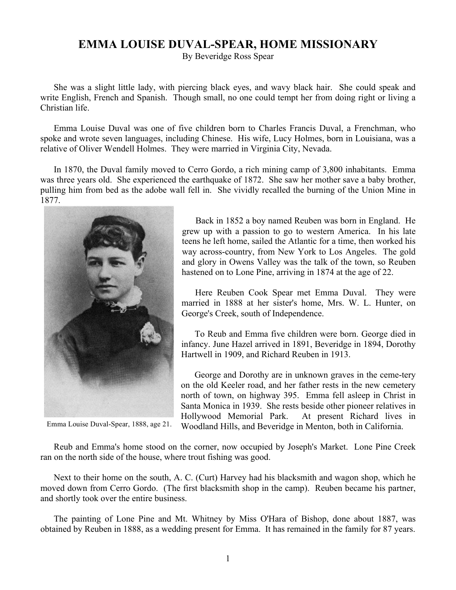## **EMMA LOUISE DUVAL-SPEAR, HOME MISSIONARY**

By Beveridge Ross Spear

She was a slight little lady, with piercing black eyes, and wavy black hair. She could speak and write English, French and Spanish. Though small, no one could tempt her from doing right or living a Christian life.

Emma Louise Duval was one of five children born to Charles Francis Duval, a Frenchman, who spoke and wrote seven languages, including Chinese. His wife, Lucy Holmes, born in Louisiana, was a relative of Oliver Wendell Holmes. They were married in Virginia City, Nevada.

In 1870, the Duval family moved to Cerro Gordo, a rich mining camp of 3,800 inhabitants. Emma was three years old. She experienced the earthquake of 1872. She saw her mother save a baby brother, pulling him from bed as the adobe wall fell in. She vividly recalled the burning of the Union Mine in 1877.



Emma Louise Duval-Spear, 1888, age 21.

Back in 1852 a boy named Reuben was born in England. He grew up with a passion to go to western America. In his late teens he left home, sailed the Atlantic for a time, then worked his way across-country, from New York to Los Angeles. The gold and glory in Owens Valley was the talk of the town, so Reuben hastened on to Lone Pine, arriving in 1874 at the age of 22.

Here Reuben Cook Spear met Emma Duval. They were married in 1888 at her sister's home, Mrs. W. L. Hunter, on George's Creek, south of Independence.

To Reub and Emma five children were born. George died in infancy. June Hazel arrived in 1891, Beveridge in 1894, Dorothy Hartwell in 1909, and Richard Reuben in 1913.

George and Dorothy are in unknown graves in the ceme-tery on the old Keeler road, and her father rests in the new cemetery north of town, on highway 395. Emma fell asleep in Christ in Santa Monica in 1939. She rests beside other pioneer relatives in Hollywood Memorial Park. At present Richard lives in Woodland Hills, and Beveridge in Menton, both in California.

Reub and Emma's home stood on the corner, now occupied by Joseph's Market. Lone Pine Creek ran on the north side of the house, where trout fishing was good.

Next to their home on the south, A. C. (Curt) Harvey had his blacksmith and wagon shop, which he moved down from Cerro Gordo. (The first blacksmith shop in the camp). Reuben became his partner, and shortly took over the entire business.

The painting of Lone Pine and Mt. Whitney by Miss O'Hara of Bishop, done about 1887, was obtained by Reuben in 1888, as a wedding present for Emma. It has remained in the family for 87 years.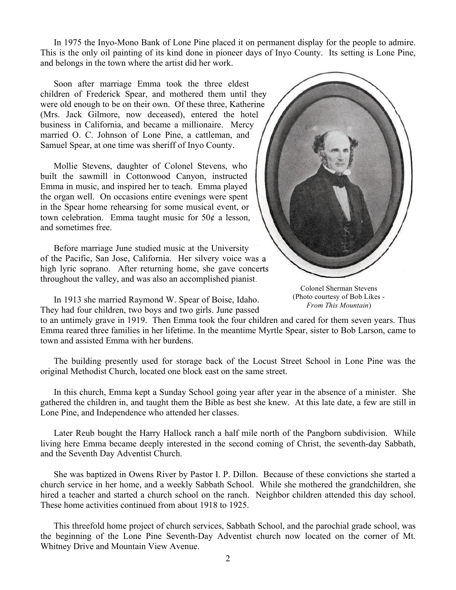In 1975 the Inyo-Mono Bank of Lone Pine placed it on permanent display for the people to admire. This is the only oil painting of its kind done in pioneer days of Inyo County. Its setting is Lone Pine, and belongs in the town where the artist did her work.

Soon after marriage Emma took the three eldest children of Frederick Spear, and mothered them until they were old enough to be on their own. Of these three, Katherine (Mrs. Jack Gilmore, now deceased), entered the hotel business in California, and became a millionaire. Mercy married O. C. Johnson of Lone Pine, a cattleman, and Samuel Spear, at one time was sheriff of Inyo County.

Mollie Stevens, daughter of Colonel Stevens, who built the sawmill in Cottonwood Canyon, instructed Emma in music, and inspired her to teach. Emma played the organ well. On occasions entire evenings were spent in the Spear home rehearsing for some musical event, or town celebration. Emma taught music for  $50¢$  a lesson, and sometimes free.

Before marriage June studied music at the University of the Pacific, San Jose, California. Her silvery voice was a high lyric soprano. After returning home, she gave concerts throughout the valley, and was also an accomplished pianist. ic, San Jose, California. Her silvery voice was a<br>oprano. After returning home, she gave concerts<br>he valley, and was also an accomplished pianist.<br>Colonel Sherman Stevens

In 1913 she married Raymond W. Spear of Boise, Idaho. They had four children, two boys and two girls. June passed



(Photo courtesy of Bob Likes - *From This Mountain*)

to an untimely grave in 1919. Then Emma took the four children and cared for them seven years. Thus Emma reared three families in her lifetime. In the meantime Myrtle Spear, sister to Bob Larson, came to town and assisted Emma with her burdens.

The building presently used for storage back of the Locust Street School in Lone Pine was the original Methodist Church, located one block east on the same street.

In this church, Emma kept a Sunday School going year after year in the absence of a minister. She gathered the children in, and taught them the Bible as best she knew. At this late date, a few are still in Lone Pine, and Independence who attended her classes.

Later Reub bought the Harry Hallock ranch a half mile north of the Pangborn subdivision. While living here Emma became deeply interested in the second coming of Christ, the seventh-day Sabbath, and the Seventh Day Adventist Church.

She was baptized in Owens River by Pastor I. P. Dillon. Because of these convictions she started a church service in her home, and a weekly Sabbath School. While she mothered the grandchildren, she hired a teacher and started a church school on the ranch. Neighbor children attended this day school. These home activities continued from about 1918 to 1925.

This threefold home project of church services, Sabbath School, and the parochial grade school, was the beginning of the Lone Pine Seventh-Day Adventist church now located on the corner of Mt. Whitney Drive and Mountain View Avenue.